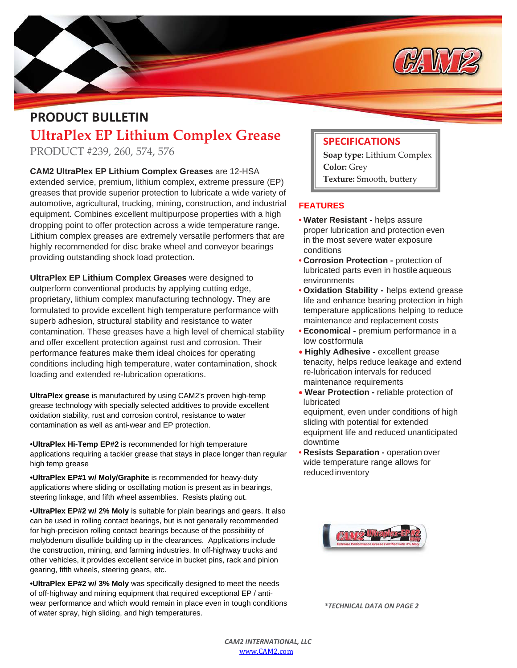

## **PRODUCT BULLETIN UltraPlex EP Lithium Complex Grease**

PRODUCT #239, 260, 574, 576

**CAM2 UltraPlex EP Lithium Complex Greases** are 12-HSA extended service, premium, lithium complex, extreme pressure (EP) greases that provide superior protection to lubricate a wide variety of automotive, agricultural, trucking, mining, construction, and industrial equipment. Combines excellent multipurpose properties with a high dropping point to offer protection across a wide temperature range. Lithium complex greases are extremely versatile performers that are highly recommended for disc brake wheel and conveyor bearings providing outstanding shock load protection.

**UltraPlex EP Lithium Complex Greases** were designed to outperform conventional products by applying cutting edge, proprietary, lithium complex manufacturing technology. They are formulated to provide excellent high temperature performance with superb adhesion, structural stability and resistance to water contamination. These greases have a high level of chemical stability and offer excellent protection against rust and corrosion. Their performance features make them ideal choices for operating conditions including high temperature, water contamination, shock loading and extended re-lubrication operations.

**UltraPlex grease** is manufactured by using CAM2's proven high-temp grease technology with specially selected additives to provide excellent oxidation stability, rust and corrosion control, resistance to water contamination as well as anti-wear and EP protection.

•**UltraPlex Hi-Temp EP#2** is recommended for high temperature applications requiring a tackier grease that stays in place longer than regular high temp grease

**•UltraPlex EP#1 w/ Moly/Graphite** is recommended for heavy-duty applications where sliding or oscillating motion is present as in bearings, steering linkage, and fifth wheel assemblies. Resists plating out.

•**UltraPlex EP#2 w/ 2% Moly** is suitable for plain bearings and gears. It also can be used in rolling contact bearings, but is not generally recommended for high-precision rolling contact bearings because of the possibility of molybdenum disulfide building up in the clearances. Applications include the construction, mining, and farming industries. In off-highway trucks and other vehicles, it provides excellent service in bucket pins, rack and pinion gearing, fifth wheels, steering gears, etc.

**•UltraPlex EP#2 w/ 3% Moly** was specifically designed to meet the needs of off-highway and mining equipment that required exceptional EP / antiwear performance and which would remain in place even in tough conditions of water spray, high sliding, and high temperatures.

## **SPECIFICATIONS**

**Soap type:** Lithium Complex **Color:** Grey **Texture:** Smooth, buttery

## **FEATURES**

- **• Water Resistant** helps assure proper lubrication and protection even in the most severe water exposure conditions
- **• Corrosion Protection** protection of lubricated parts even in hostile aqueous environments
- **• Oxidation Stability** helps extend grease life and enhance bearing protection in high temperature applications helping to reduce maintenance and replacement costs
- **• Economical** premium performance in a low costformula
- **Highly Adhesive** excellent grease tenacity, helps reduce leakage and extend re-lubrication intervals for reduced maintenance requirements
- **Wear Protection** reliable protection of lubricated

equipment, even under conditions of high sliding with potential for extended equipment life and reduced unanticipated downtime

**• Resists Separation -** operation over wide temperature range allows for reducedinventory



*\*TECHNICAL DATA ON PAGE 2*